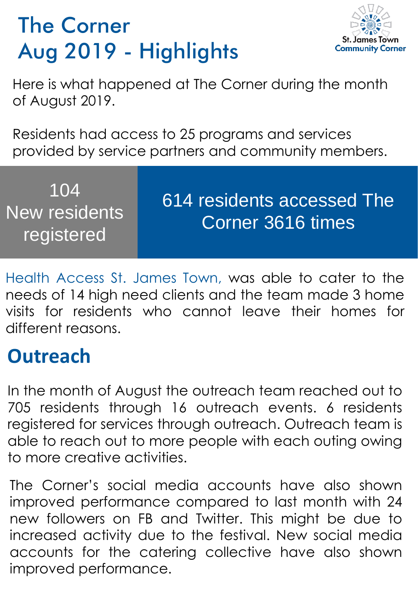## The Corner Aug 2019 - Highlights



Here is what happened at The Corner during the month of August 2019.

Residents had access to 25 programs and services provided by service partners and community members.

| 104<br>New residents<br>registered | 614 residents accessed The<br>Corner 3616 times |
|------------------------------------|-------------------------------------------------|
|------------------------------------|-------------------------------------------------|

Health Access St. James Town, was able to cater to the needs of 14 high need clients and the team made 3 home visits for residents who cannot leave their homes for different reasons.

## **Outreach**

In the month of August the outreach team reached out to 705 residents through 16 outreach events. 6 residents registered for services through outreach. Outreach team is able to reach out to more people with each outing owing to more creative activities.

The Corner's social media accounts have also shown improved performance compared to last month with 24 new followers on FB and Twitter. This might be due to increased activity due to the festival. New social media accounts for the catering collective have also shown improved performance.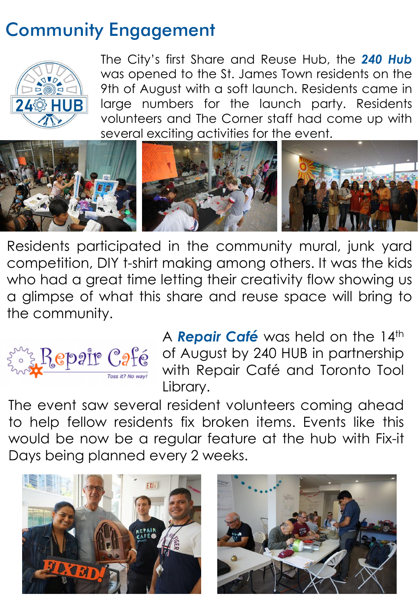## Community Engagement



The City's first Share and Reuse Hub, the *240 Hub* was opened to the St. James Town residents on the 9th of August with a soft launch. Residents came in large numbers for the launch party. Residents volunteers and The Corner staff had come up with several exciting activities for the event.



Residents participated in the community mural, junk yard competition, DIY t-shirt making among others. It was the kids who had a great time letting their creativity flow showing us a glimpse of what this share and reuse space will bring to the community.



A **Repair Café** was held on the 14th of August by 240 HUB in partnership with Repair Café and Toronto Tool Library.

The event saw several resident volunteers coming ahead to help fellow residents fix broken items. Events like this would be now be a regular feature at the hub with Fix-it Days being planned every 2 weeks.